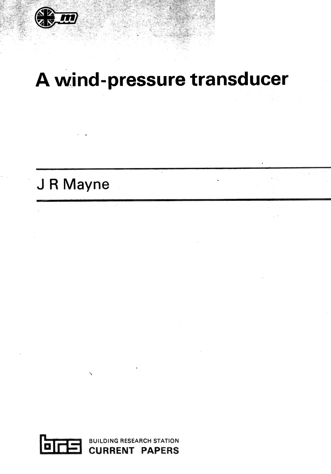

# **A wind-pressure transducer**

## J **R Mayne**

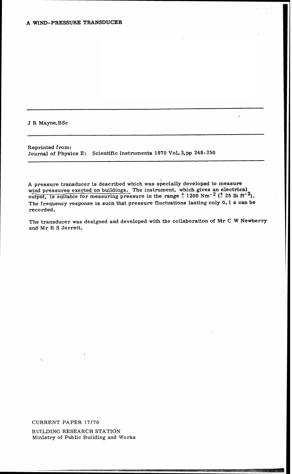J R Mayne, BSc

Reprinted from: Journal of Physics E: Scientific Instruments 1970 Vol. **3, pp 248- 250** 

A pressure transducer is described which was specially developed to measure wind pressures exerted on buildings. The instrument, which gives an electrical output, is suitable for measuring pressure in the range  $\pm$  1200 Nm<sup>-2</sup> ( $\pm$  25 lb ft<sup>-2</sup>). The frequency response is such that pressure fluctuations lasting only 0.1 **s** can be recorded.

The transducer was designed and developed with the collaboration of Mr **C W** Newberry and Mr R S Jerrett.

CURRENT PAPER 17/70 BUILDING RESEARCH STATION Ministry of Public Building and Works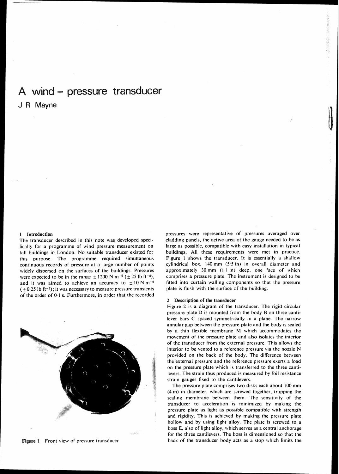### A wind - pressure transducer

J R Mayne

#### **1 Introduction**

The transducer described in this note was developed specifically for a programme of wind pressure measurement on tall buildings in London. No suitable transducer existed for this purpose. The programme required simultaneous continuous records of pressure at a large number of points widely dispersed on the surfaces of the buildings. Pressures were expected to be in the range  $\pm$  1200 N m<sup>-2</sup> ( $\pm$  25 lb ft<sup>-2</sup>), and it was aimed to achieve an accuracy to  $\pm 10$  N m<sup>-2</sup>  $(+0.25$  lb ft<sup>-2</sup>); it was necessary to measure pressure transients of the order of 0.1 s. Furthermore, in order that the recorded

cladding panels, the active area of the gauge needed to be as large as possible, compatible with easy installation in typical buildings. All these requirements were met in practice. Figure 1 shows the transducer. It is essentially a shallow cylindrical box, 140mrn *(5.5* in) in overall diameter and approximately 30 mm  $(1.1 \text{ in})$  deep, one face of which comprises a pressure plate. The instrument is designed to be fitted into curtain walling components so that the pressure plate is flush with the surface of the building.

pressures were representative of pressures averaged over

#### **2 Description of the transducer**

Figure 2 is a diagram of the transducer. The rigid circular pressure plate D is mounted from the body B on three cantilever bars C spaced symmetrically in a plane. The narrow annular gap between the pressure plate and the body is sealed by a thin flexible membrane **M** uhich accommodates the movement of the pressure plate and also isolates the interior of the transducer from the external pressure. This allows the interior to be vented to a reference pressure via the nozzle **N**  provided on the back of the body. The difference between the external pressure and the reference pressure exerts a load on the pressure plate which is transferred to the three cantilevers. The strain thus produced is measured by foil resistance strain gauges fixed to the cantilevers.

The pressure plate comprises two disks each about 100 mm (4 in) in diameter. which are screwed together, trapping the sealing membrane betueen them. The sensitivity of the transducer to acceleration is minimized by making the pressure plate as light as possible compatible with strength and rigidity. This is achieved by making the pressure plate hollow and by using light alloy. The plate is screwed to a boss E, also of light alloy, which serves as a central anchorage for the three cantilevers. The boss is dimensioned so that the back of the transducer body acts as a stop uhich limits the



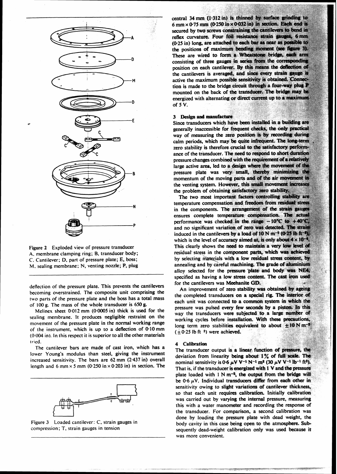

Figure 2 Exploded view of pressure transducer A. membrane clamping ring; B, transducer body; *C.* Cantilever; **0.** part of pressure plate; **E,** boss; M. sealing membrane; N, venting nozzle; **P,** plug

deflection of the pressure plate. This prevents the cantilevers becoming overstrained. The composite unit comprising the two parts of the pressure plate and the boss has a total mass of 100 g. The mass of the whole transducer is **650%** 

Melinex sheet 0.012 mm (0.0005 in) thick is used for the sealing membrane. It produces negligible restraint on the movement of the pressure plate in the normal working range of the instrument, which is up to a deflection **of O.lOmm**  (0.004 in). In this respect **it** is superior to all the other materials tried.

The cantilever bars are made of cast iron, which **has** a lower Young's modulus than steel, giving the instrument increased sensitivity. The bars are 62 mm (2.437 in) overall length and 6 mm  $\times$  5 mm (0.250 in  $\times$  0.203 in) in section. The



Figure 3 Loaded cantilever: C, strain gauges in compression; **T,** strain gauges in tension

central 34 mm (1.312 in) is thinned by surface grinding to  $6 \text{ mm} \times 0.75 \text{ mm}$  (0.250 in  $\times$  0.032 in) in section. Each end is secured by two screws constraining the cantilevers to bend in reflex curvature. Four foil resistance strain gauges, 6 mm (0.25 in) long, are attached to each bar as near as possible to the positions of maximum bending moment (see figure 3). These are wired to form a Wheatstone bridge, each arm consisting of three gauges in series from the corresponding position on each cantilever. By this means the deflection of the cantilevers is averaged, and since every strain gauge is active the maximum possible sensitivity is obtained. Connection is made to the bridge circuit through a four-way plug P mounted on the back of the transducer. The bridge may be energized with alternating or direct current up to a maximum of  $5V$ .

#### 3 Design and manufacture

Since transducers which have been installed in a building are generally inaccessible for frequent checks, the only practical way of measuring the zero position is by recording during calm periods, which may be quite infrequent. The long-term zero stability is therefore crucial to the satisfactory performance of the transducer. The need to respond to short duration pressure changes combined with the requirement of a relatively large active area, led to a design where the movement of the pressure plate was very small, thereby minimizing the momentum of the moving parts and of the air movement in the venting system. However, this small movement increases the problem of obtaining satisfactory zero stability.

The two most important factors controlling stability are temperature compensation and freedom from residual stress in the components. The arrangement of the strain gauges ensures complete temperature compensation. The actual performance was checked in the range  $-10^{\circ}$ C to  $+40^{\circ}$ C, and no significant variation of zero was detected. The strain induced in the cantilevers by a load of 10 N  $m^{-2}$  (0-25 lb ft<sup>-4</sup>). which is the level of accuracy aimed at, is only about  $4 \times 10^{-7}$ This clearly shows the need to maintain a very low level of residual stress in the component parts, which was achieved by selecting materials with a low residual stress content, by annealing and by careful machining. The grade of aluminium alloy selected for the pressure plate and body was NE4, specified as having a low stress content. The cast iron used for the cantilevers was Meehanite GD.

An improvement of zero stability was obtained by ageing the completed transducers on a special rig. The interior of each unit was connected to a common system in which the pressure was pulsed every few seconds by a piston. In this way the transducers were subjected to a large number of working cycles before installation. With these precautions, long term zero stabilities equivalent to about  $\pm 10$  N m<sup>-2</sup>  $(\pm 0.25 \text{ lb ft} \text{ }^2)$  were achieved.

#### 4 **Calibratian**

The transducer output is a linear function of pressure, the deviation from linearity being about 1% of full scale. The nominal sensitivity is 0.6  $\mu$ V V<sup>-1</sup> N<sup>-1</sup> m<sup>2</sup> (30  $\mu$ V V<sup>-1</sup> lb<sup>-1</sup> ft<sup>2</sup>). That is, if the transducer is energized with 1 V and the pressure plate loaded with  $1 N m^{-2}$ , the output from the bridge will be 0.6  $\mu$ V. Individual transducers differ from each other in sensitivity owing to slight variations of cantilever thickness, so that each unit requires calibration. Initially calibration was carried out by varying the internal pressure, measuring this with a water manometer and recording the response of the transducer. For comparison, a second calibration was done by loading the pressure plate with dead weight, the body cavity in this case being open to the atmosphere. Subsequently dead-weight calibration only was used because it was more convenient.